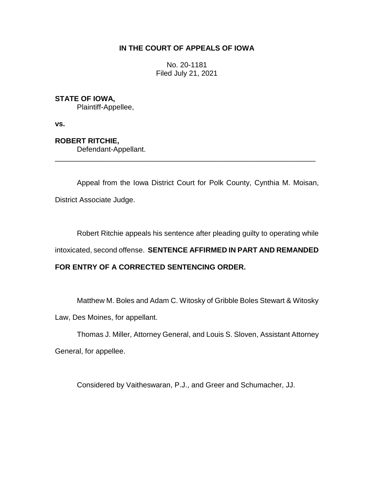# **IN THE COURT OF APPEALS OF IOWA**

No. 20-1181 Filed July 21, 2021

# **STATE OF IOWA,**

Plaintiff-Appellee,

**vs.**

## **ROBERT RITCHIE,**

Defendant-Appellant.

Appeal from the Iowa District Court for Polk County, Cynthia M. Moisan, District Associate Judge.

\_\_\_\_\_\_\_\_\_\_\_\_\_\_\_\_\_\_\_\_\_\_\_\_\_\_\_\_\_\_\_\_\_\_\_\_\_\_\_\_\_\_\_\_\_\_\_\_\_\_\_\_\_\_\_\_\_\_\_\_\_\_\_\_

Robert Ritchie appeals his sentence after pleading guilty to operating while

intoxicated, second offense. **SENTENCE AFFIRMED IN PART AND REMANDED** 

# **FOR ENTRY OF A CORRECTED SENTENCING ORDER.**

Matthew M. Boles and Adam C. Witosky of Gribble Boles Stewart & Witosky Law, Des Moines, for appellant.

Thomas J. Miller, Attorney General, and Louis S. Sloven, Assistant Attorney General, for appellee.

Considered by Vaitheswaran, P.J., and Greer and Schumacher, JJ.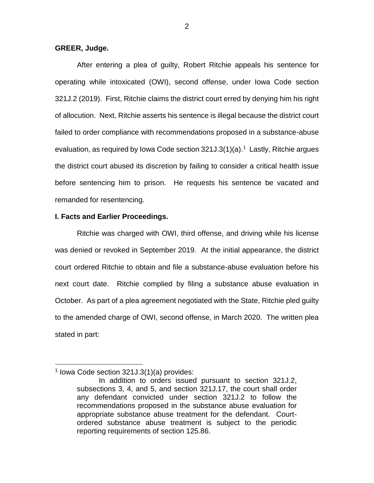## **GREER, Judge.**

After entering a plea of guilty, Robert Ritchie appeals his sentence for operating while intoxicated (OWI), second offense, under Iowa Code section 321J.2 (2019). First, Ritchie claims the district court erred by denying him his right of allocution. Next, Ritchie asserts his sentence is illegal because the district court failed to order compliance with recommendations proposed in a substance-abuse evaluation, as required by Iowa Code section 321J.3(1)(a).<sup>1</sup> Lastly, Ritchie argues the district court abused its discretion by failing to consider a critical health issue before sentencing him to prison. He requests his sentence be vacated and remanded for resentencing.

### **I. Facts and Earlier Proceedings.**

Ritchie was charged with OWI, third offense, and driving while his license was denied or revoked in September 2019. At the initial appearance, the district court ordered Ritchie to obtain and file a substance-abuse evaluation before his next court date. Ritchie complied by filing a substance abuse evaluation in October. As part of a plea agreement negotiated with the State, Ritchie pled guilty to the amended charge of OWI, second offense, in March 2020. The written plea stated in part:

 $\overline{a}$ 

<sup>1</sup> Iowa Code section 321J.3(1)(a) provides:

In addition to orders issued pursuant to section 321J.2, subsections 3, 4, and 5, and section 321J.17, the court shall order any defendant convicted under section 321J.2 to follow the recommendations proposed in the substance abuse evaluation for appropriate substance abuse treatment for the defendant. Courtordered substance abuse treatment is subject to the periodic reporting requirements of section 125.86.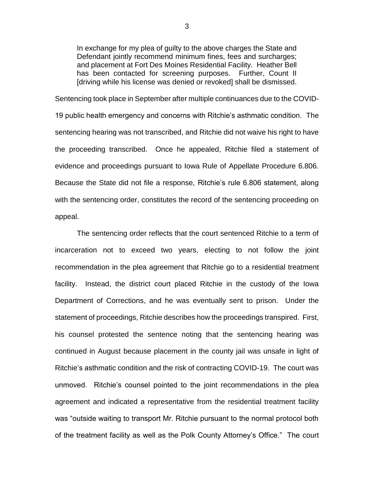In exchange for my plea of guilty to the above charges the State and Defendant jointly recommend minimum fines, fees and surcharges; and placement at Fort Des Moines Residential Facility. Heather Bell has been contacted for screening purposes. Further, Count II [driving while his license was denied or revoked] shall be dismissed.

Sentencing took place in September after multiple continuances due to the COVID-19 public health emergency and concerns with Ritchie's asthmatic condition. The sentencing hearing was not transcribed, and Ritchie did not waive his right to have the proceeding transcribed. Once he appealed, Ritchie filed a statement of evidence and proceedings pursuant to Iowa Rule of Appellate Procedure 6.806. Because the State did not file a response, Ritchie's rule 6.806 statement, along with the sentencing order, constitutes the record of the sentencing proceeding on appeal.

The sentencing order reflects that the court sentenced Ritchie to a term of incarceration not to exceed two years, electing to not follow the joint recommendation in the plea agreement that Ritchie go to a residential treatment facility. Instead, the district court placed Ritchie in the custody of the Iowa Department of Corrections, and he was eventually sent to prison. Under the statement of proceedings, Ritchie describes how the proceedings transpired. First, his counsel protested the sentence noting that the sentencing hearing was continued in August because placement in the county jail was unsafe in light of Ritchie's asthmatic condition and the risk of contracting COVID-19. The court was unmoved. Ritchie's counsel pointed to the joint recommendations in the plea agreement and indicated a representative from the residential treatment facility was "outside waiting to transport Mr. Ritchie pursuant to the normal protocol both of the treatment facility as well as the Polk County Attorney's Office." The court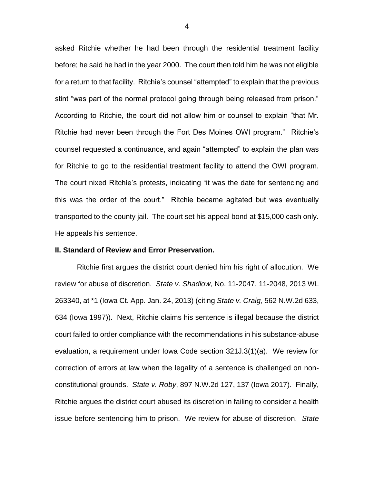asked Ritchie whether he had been through the residential treatment facility before; he said he had in the year 2000. The court then told him he was not eligible for a return to that facility. Ritchie's counsel "attempted" to explain that the previous stint "was part of the normal protocol going through being released from prison." According to Ritchie, the court did not allow him or counsel to explain "that Mr. Ritchie had never been through the Fort Des Moines OWI program." Ritchie's counsel requested a continuance, and again "attempted" to explain the plan was for Ritchie to go to the residential treatment facility to attend the OWI program. The court nixed Ritchie's protests, indicating "it was the date for sentencing and this was the order of the court." Ritchie became agitated but was eventually transported to the county jail. The court set his appeal bond at \$15,000 cash only. He appeals his sentence.

## **II. Standard of Review and Error Preservation.**

Ritchie first argues the district court denied him his right of allocution. We review for abuse of discretion. *State v. Shadlow*, No. 11-2047, 11-2048, 2013 WL 263340, at \*1 (Iowa Ct. App. Jan. 24, 2013) (citing *State v. Craig*, 562 N.W.2d 633, 634 (Iowa 1997)). Next, Ritchie claims his sentence is illegal because the district court failed to order compliance with the recommendations in his substance-abuse evaluation, a requirement under Iowa Code section 321J.3(1)(a). We review for correction of errors at law when the legality of a sentence is challenged on nonconstitutional grounds. *State v. Roby*, 897 N.W.2d 127, 137 (Iowa 2017). Finally, Ritchie argues the district court abused its discretion in failing to consider a health issue before sentencing him to prison. We review for abuse of discretion. *State*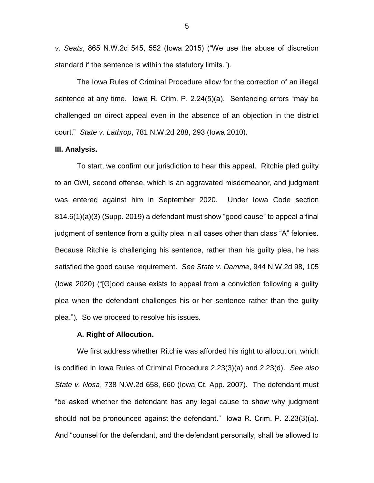*v. Seats*, 865 N.W.2d 545, 552 (Iowa 2015) ("We use the abuse of discretion standard if the sentence is within the statutory limits.").

The Iowa Rules of Criminal Procedure allow for the correction of an illegal sentence at any time. Iowa R. Crim. P. 2.24(5)(a). Sentencing errors "may be challenged on direct appeal even in the absence of an objection in the district court." *State v. Lathrop*, 781 N.W.2d 288, 293 (Iowa 2010).

#### **III. Analysis.**

To start, we confirm our jurisdiction to hear this appeal. Ritchie pled guilty to an OWI, second offense, which is an aggravated misdemeanor, and judgment was entered against him in September 2020. Under Iowa Code section 814.6(1)(a)(3) (Supp. 2019) a defendant must show "good cause" to appeal a final judgment of sentence from a guilty plea in all cases other than class "A" felonies. Because Ritchie is challenging his sentence, rather than his guilty plea, he has satisfied the good cause requirement. *See State v. Damme*, 944 N.W.2d 98, 105 (Iowa 2020) ("[G]ood cause exists to appeal from a conviction following a guilty plea when the defendant challenges his or her sentence rather than the guilty plea."). So we proceed to resolve his issues.

### **A. Right of Allocution.**

We first address whether Ritchie was afforded his right to allocution, which is codified in Iowa Rules of Criminal Procedure 2.23(3)(a) and 2.23(d). *See also State v. Nosa*, 738 N.W.2d 658, 660 (Iowa Ct. App. 2007). The defendant must "be asked whether the defendant has any legal cause to show why judgment should not be pronounced against the defendant." Iowa R. Crim. P. 2.23(3)(a). And "counsel for the defendant, and the defendant personally, shall be allowed to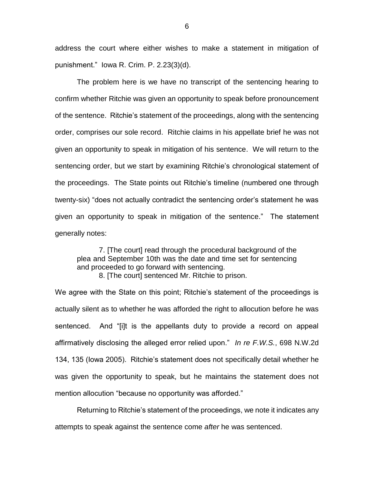address the court where either wishes to make a statement in mitigation of punishment." Iowa R. Crim. P. 2.23(3)(d).

The problem here is we have no transcript of the sentencing hearing to confirm whether Ritchie was given an opportunity to speak before pronouncement of the sentence. Ritchie's statement of the proceedings, along with the sentencing order, comprises our sole record. Ritchie claims in his appellate brief he was not given an opportunity to speak in mitigation of his sentence. We will return to the sentencing order, but we start by examining Ritchie's chronological statement of the proceedings. The State points out Ritchie's timeline (numbered one through twenty-six) "does not actually contradict the sentencing order's statement he was given an opportunity to speak in mitigation of the sentence." The statement generally notes:

7. [The court] read through the procedural background of the plea and September 10th was the date and time set for sentencing and proceeded to go forward with sentencing.

8. [The court] sentenced Mr. Ritchie to prison.

We agree with the State on this point; Ritchie's statement of the proceedings is actually silent as to whether he was afforded the right to allocution before he was sentenced. And "[i]t is the appellants duty to provide a record on appeal affirmatively disclosing the alleged error relied upon." *In re F.W.S.*, 698 N.W.2d 134, 135 (Iowa 2005). Ritchie's statement does not specifically detail whether he was given the opportunity to speak, but he maintains the statement does not mention allocution "because no opportunity was afforded."

Returning to Ritchie's statement of the proceedings, we note it indicates any attempts to speak against the sentence come *after* he was sentenced.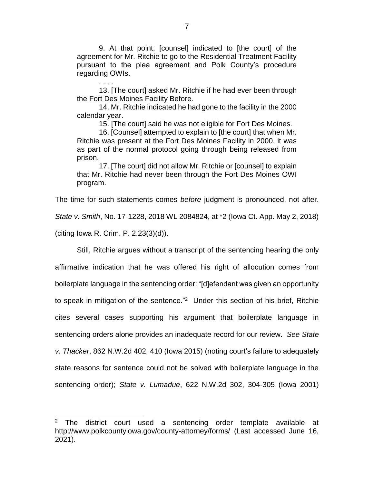9. At that point, [counsel] indicated to [the court] of the agreement for Mr. Ritchie to go to the Residential Treatment Facility pursuant to the plea agreement and Polk County's procedure regarding OWIs.

13. [The court] asked Mr. Ritchie if he had ever been through the Fort Des Moines Facility Before.

14. Mr. Ritchie indicated he had gone to the facility in the 2000 calendar year.

15. [The court] said he was not eligible for Fort Des Moines.

16. [Counsel] attempted to explain to [the court] that when Mr. Ritchie was present at the Fort Des Moines Facility in 2000, it was as part of the normal protocol going through being released from prison.

17. [The court] did not allow Mr. Ritchie or [counsel] to explain that Mr. Ritchie had never been through the Fort Des Moines OWI program.

The time for such statements comes *before* judgment is pronounced, not after.

*State v. Smith*, No. 17-1228, 2018 WL 2084824, at \*2 (Iowa Ct. App. May 2, 2018)

(citing Iowa R. Crim. P. 2.23(3)(d)).

 $\overline{a}$ 

. . . .

Still, Ritchie argues without a transcript of the sentencing hearing the only affirmative indication that he was offered his right of allocution comes from boilerplate language in the sentencing order: "[d]efendant was given an opportunity to speak in mitigation of the sentence."<sup>2</sup> Under this section of his brief, Ritchie cites several cases supporting his argument that boilerplate language in sentencing orders alone provides an inadequate record for our review. *See State v. Thacker*, 862 N.W.2d 402, 410 (Iowa 2015) (noting court's failure to adequately state reasons for sentence could not be solved with boilerplate language in the sentencing order); *State v. Lumadue*, 622 N.W.2d 302, 304-305 (Iowa 2001)

 $2$  The district court used a sentencing order template available at http://www.polkcountyiowa.gov/county-attorney/forms/ (Last accessed June 16, 2021).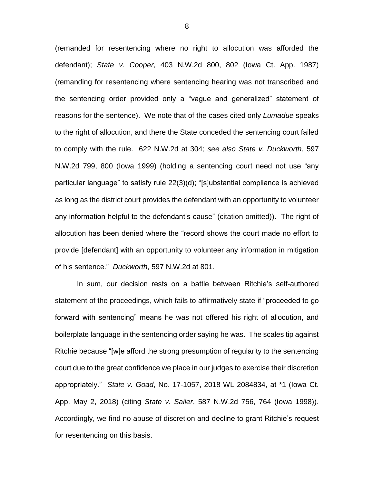(remanded for resentencing where no right to allocution was afforded the defendant); *State v. Cooper*, 403 N.W.2d 800, 802 (Iowa Ct. App. 1987) (remanding for resentencing where sentencing hearing was not transcribed and the sentencing order provided only a "vague and generalized" statement of reasons for the sentence). We note that of the cases cited only *Lumadue* speaks to the right of allocution, and there the State conceded the sentencing court failed to comply with the rule. 622 N.W.2d at 304; *see also State v. Duckworth*, 597 N.W.2d 799, 800 (Iowa 1999) (holding a sentencing court need not use "any particular language" to satisfy rule 22(3)(d); "[s]ubstantial compliance is achieved as long as the district court provides the defendant with an opportunity to volunteer any information helpful to the defendant's cause" (citation omitted)). The right of allocution has been denied where the "record shows the court made no effort to provide [defendant] with an opportunity to volunteer any information in mitigation of his sentence." *Duckworth*, 597 N.W.2d at 801.

In sum, our decision rests on a battle between Ritchie's self-authored statement of the proceedings, which fails to affirmatively state if "proceeded to go forward with sentencing" means he was not offered his right of allocution, and boilerplate language in the sentencing order saying he was. The scales tip against Ritchie because "[w]e afford the strong presumption of regularity to the sentencing court due to the great confidence we place in our judges to exercise their discretion appropriately." *State v. Goad*, No. 17-1057, 2018 WL 2084834, at \*1 (Iowa Ct. App. May 2, 2018) (citing *State v. Sailer*, 587 N.W.2d 756, 764 (Iowa 1998)). Accordingly, we find no abuse of discretion and decline to grant Ritchie's request for resentencing on this basis.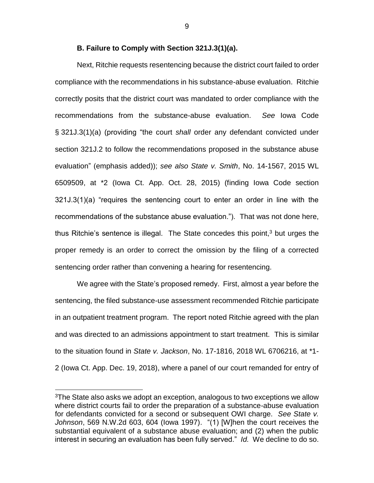### **B. Failure to Comply with Section 321J.3(1)(a).**

Next, Ritchie requests resentencing because the district court failed to order compliance with the recommendations in his substance-abuse evaluation. Ritchie correctly posits that the district court was mandated to order compliance with the recommendations from the substance-abuse evaluation. *See* Iowa Code § 321J.3(1)(a) (providing "the court *shall* order any defendant convicted under section 321J.2 to follow the recommendations proposed in the substance abuse evaluation" (emphasis added)); *see also State v. Smith*, No. 14-1567, 2015 WL 6509509, at \*2 (Iowa Ct. App. Oct. 28, 2015) (finding Iowa Code section 321J.3(1)(a) "requires the sentencing court to enter an order in line with the recommendations of the substance abuse evaluation."). That was not done here, thus Ritchie's sentence is illegal. The State concedes this point, <sup>3</sup> but urges the proper remedy is an order to correct the omission by the filing of a corrected sentencing order rather than convening a hearing for resentencing.

We agree with the State's proposed remedy. First, almost a year before the sentencing, the filed substance-use assessment recommended Ritchie participate in an outpatient treatment program. The report noted Ritchie agreed with the plan and was directed to an admissions appointment to start treatment. This is similar to the situation found in *State v. Jackson*, No. 17-1816, 2018 WL 6706216, at \*1- 2 (Iowa Ct. App. Dec. 19, 2018), where a panel of our court remanded for entry of

 $\overline{a}$ 

<sup>&</sup>lt;sup>3</sup>The State also asks we adopt an exception, analogous to two exceptions we allow where district courts fail to order the preparation of a substance-abuse evaluation for defendants convicted for a second or subsequent OWI charge. *See State v. Johnson*, 569 N.W.2d 603, 604 (Iowa 1997). "(1) [W]hen the court receives the substantial equivalent of a substance abuse evaluation; and (2) when the public interest in securing an evaluation has been fully served." *Id.* We decline to do so.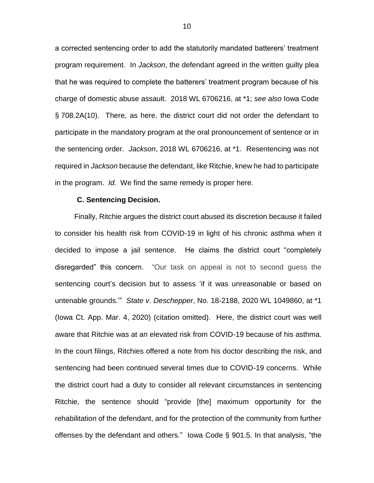a corrected sentencing order to add the statutorily mandated batterers' treatment program requirement. In *Jackson*, the defendant agreed in the written guilty plea that he was required to complete the batterers' treatment program because of his charge of domestic abuse assault. 2018 WL 6706216, at \*1; *see also* Iowa Code § 708.2A(10). There, as here, the district court did not order the defendant to participate in the mandatory program at the oral pronouncement of sentence or in the sentencing order. *Jackson*, 2018 WL 6706216, at \*1. Resentencing was not required in *Jackson* because the defendant, like Ritchie, knew he had to participate in the program. *Id.* We find the same remedy is proper here.

#### **C. Sentencing Decision.**

Finally, Ritchie argues the district court abused its discretion because it failed to consider his health risk from COVID-19 in light of his chronic asthma when it decided to impose a jail sentence. He claims the district court "completely disregarded" this concern. "Our task on appeal is not to second guess the sentencing court's decision but to assess 'if it was unreasonable or based on untenable grounds.'" *State v. Deschepper*, No. 18-2188, 2020 WL 1049860, at \*1 (Iowa Ct. App. Mar. 4, 2020) (citation omitted). Here, the district court was well aware that Ritchie was at an elevated risk from COVID-19 because of his asthma. In the court filings, Ritchies offered a note from his doctor describing the risk, and sentencing had been continued several times due to COVID-19 concerns. While the district court had a duty to consider all relevant circumstances in sentencing Ritchie, the sentence should "provide [the] maximum opportunity for the rehabilitation of the defendant, and for the protection of the community from further offenses by the defendant and others." Iowa Code § 901.5. In that analysis, "the